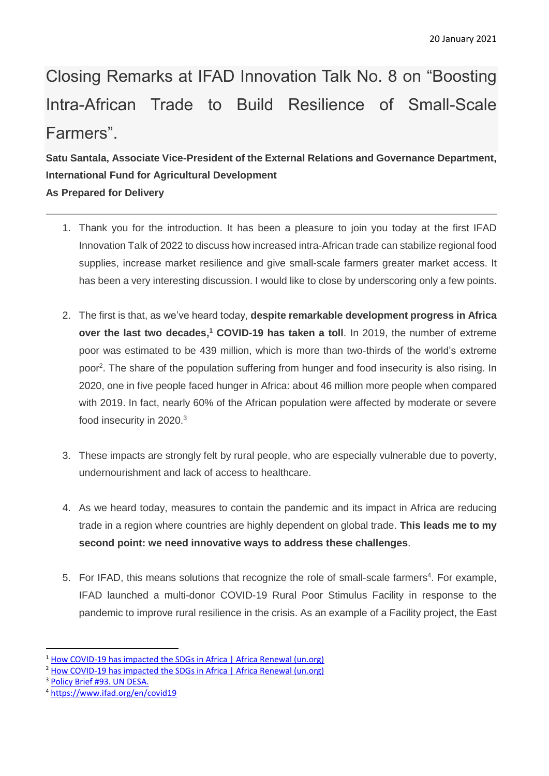Closing Remarks at IFAD Innovation Talk No. 8 on "Boosting Intra-African Trade to Build Resilience of Small-Scale Farmers".

## **Satu Santala, Associate Vice-President of the External Relations and Governance Department, International Fund for Agricultural Development As Prepared for Delivery**

- 1. Thank you for the introduction. It has been a pleasure to join you today at the first IFAD Innovation Talk of 2022 to discuss how increased intra-African trade can stabilize regional food supplies, increase market resilience and give small-scale farmers greater market access. It has been a very interesting discussion. I would like to close by underscoring only a few points.
- 2. The first is that, as we've heard today, **despite remarkable development progress in Africa over the last two decades, <sup>1</sup> COVID-19 has taken a toll**. In 2019, the number of extreme poor was estimated to be 439 million, which is more than two-thirds of the world's extreme poor<sup>2</sup>. The share of the population suffering from hunger and food insecurity is also rising. In 2020, one in five people faced hunger in Africa: about 46 million more people when compared with 2019. In fact, nearly 60% of the African population were affected by moderate or severe food insecurity in 2020.<sup>3</sup>
- 3. These impacts are strongly felt by rural people, who are especially vulnerable due to poverty, undernourishment and lack of access to healthcare.
- 4. As we heard today, measures to contain the pandemic and its impact in Africa are reducing trade in a region where countries are highly dependent on global trade. **This leads me to my second point: we need innovative ways to address these challenges**.
- 5. For IFAD, this means solutions that recognize the role of small-scale farmers<sup>4</sup>. For example, IFAD launched a multi-donor COVID-19 Rural Poor Stimulus Facility in response to the pandemic to improve rural resilience in the crisis. As an example of a Facility project, the East

 $\overline{a}$ <sup>1</sup> [How COVID-19 has impacted the SDGs in Africa | Africa Renewal \(un.org\)](https://www.un.org/africarenewal/magazine/august-2021/how-covid-19-has-impacted-sdgs-africa)

<sup>&</sup>lt;sup>2</sup> [How COVID-19 has impacted the SDGs in Africa | Africa Renewal \(un.org\)](https://www.un.org/africarenewal/magazine/august-2021/how-covid-19-has-impacted-sdgs-africa)

<sup>3</sup> [Policy Brief #93. UN DESA.](https://www.un.org/development/desa/dpad/publication/un-desa-policy-brief-93-social-policy-and-social-protection-measures-to-build-africa-better-post-covid-19/)

<sup>4</sup> <https://www.ifad.org/en/covid19>